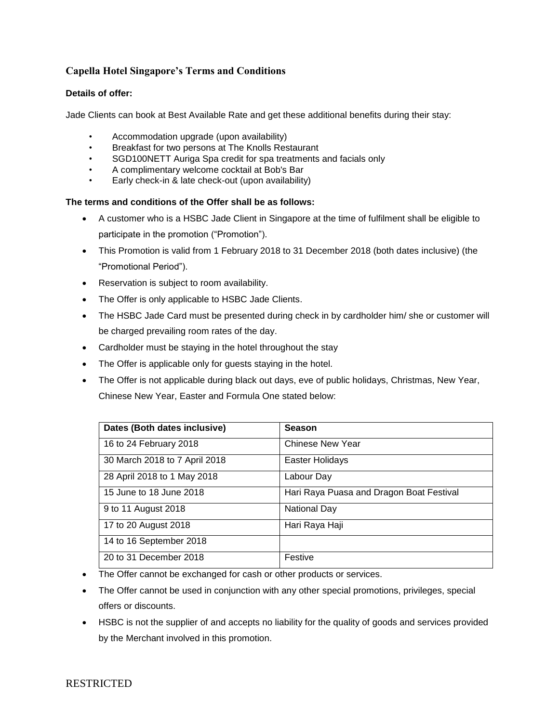# **Capella Hotel Singapore's Terms and Conditions**

## **Details of offer:**

Jade Clients can book at Best Available Rate and get these additional benefits during their stay:

- Accommodation upgrade (upon availability)
- Breakfast for two persons at The Knolls Restaurant
- SGD100NETT Auriga Spa credit for spa treatments and facials only
- A complimentary welcome cocktail at Bob's Bar
- Early check-in & late check-out (upon availability)

### **The terms and conditions of the Offer shall be as follows:**

- A customer who is a HSBC Jade Client in Singapore at the time of fulfilment shall be eligible to participate in the promotion ("Promotion").
- This Promotion is valid from 1 February 2018 to 31 December 2018 (both dates inclusive) (the "Promotional Period").
- Reservation is subject to room availability.
- The Offer is only applicable to HSBC Jade Clients.
- The HSBC Jade Card must be presented during check in by cardholder him/ she or customer will be charged prevailing room rates of the day.
- Cardholder must be staying in the hotel throughout the stay
- The Offer is applicable only for guests staying in the hotel.
- The Offer is not applicable during black out days, eve of public holidays, Christmas, New Year, Chinese New Year, Easter and Formula One stated below:

| Dates (Both dates inclusive)  | Season                                   |
|-------------------------------|------------------------------------------|
| 16 to 24 February 2018        | Chinese New Year                         |
| 30 March 2018 to 7 April 2018 | <b>Easter Holidays</b>                   |
| 28 April 2018 to 1 May 2018   | Labour Day                               |
| 15 June to 18 June 2018       | Hari Raya Puasa and Dragon Boat Festival |
| 9 to 11 August 2018           | <b>National Day</b>                      |
| 17 to 20 August 2018          | Hari Raya Haji                           |
| 14 to 16 September 2018       |                                          |
| 20 to 31 December 2018        | Festive                                  |

- The Offer cannot be exchanged for cash or other products or services.
- The Offer cannot be used in conjunction with any other special promotions, privileges, special offers or discounts.
- HSBC is not the supplier of and accepts no liability for the quality of goods and services provided by the Merchant involved in this promotion.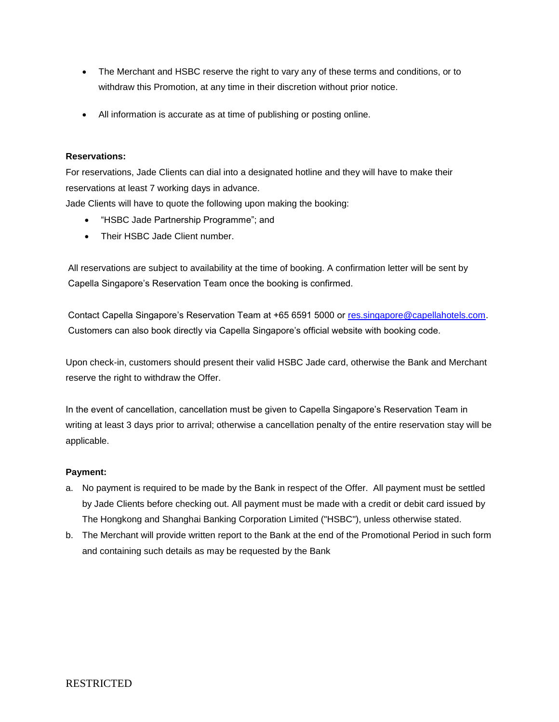- The Merchant and HSBC reserve the right to vary any of these terms and conditions, or to withdraw this Promotion, at any time in their discretion without prior notice.
- All information is accurate as at time of publishing or posting online.

## **Reservations:**

For reservations, Jade Clients can dial into a designated hotline and they will have to make their reservations at least 7 working days in advance.

Jade Clients will have to quote the following upon making the booking:

- "HSBC Jade Partnership Programme"; and
- Their HSBC Jade Client number.

All reservations are subject to availability at the time of booking. A confirmation letter will be sent by Capella Singapore's Reservation Team once the booking is confirmed.

Contact Capella Singapore's Reservation Team at +65 6591 5000 or [res.singapore@capellahotels.com.](mailto:res.singapore@capellahotels.com) Customers can also book directly via Capella Singapore's official website with booking code.

Upon check-in, customers should present their valid HSBC Jade card, otherwise the Bank and Merchant reserve the right to withdraw the Offer.

In the event of cancellation, cancellation must be given to Capella Singapore's Reservation Team in writing at least 3 days prior to arrival; otherwise a cancellation penalty of the entire reservation stay will be applicable.

## **Payment:**

- a. No payment is required to be made by the Bank in respect of the Offer. All payment must be settled by Jade Clients before checking out. All payment must be made with a credit or debit card issued by The Hongkong and Shanghai Banking Corporation Limited ("HSBC"), unless otherwise stated.
- b. The Merchant will provide written report to the Bank at the end of the Promotional Period in such form and containing such details as may be requested by the Bank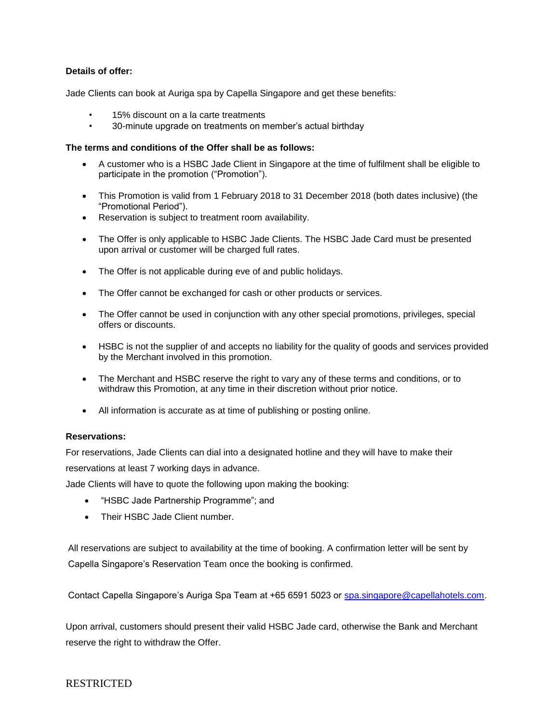### **Details of offer:**

Jade Clients can book at Auriga spa by Capella Singapore and get these benefits:

- 15% discount on a la carte treatments
- 30-minute upgrade on treatments on member's actual birthday

#### **The terms and conditions of the Offer shall be as follows:**

- A customer who is a HSBC Jade Client in Singapore at the time of fulfilment shall be eligible to participate in the promotion ("Promotion").
- This Promotion is valid from 1 February 2018 to 31 December 2018 (both dates inclusive) (the "Promotional Period").
- Reservation is subject to treatment room availability.
- The Offer is only applicable to HSBC Jade Clients. The HSBC Jade Card must be presented upon arrival or customer will be charged full rates.
- The Offer is not applicable during eve of and public holidays.
- The Offer cannot be exchanged for cash or other products or services.
- The Offer cannot be used in conjunction with any other special promotions, privileges, special offers or discounts.
- HSBC is not the supplier of and accepts no liability for the quality of goods and services provided by the Merchant involved in this promotion.
- The Merchant and HSBC reserve the right to vary any of these terms and conditions, or to withdraw this Promotion, at any time in their discretion without prior notice.
- All information is accurate as at time of publishing or posting online.

#### **Reservations:**

For reservations, Jade Clients can dial into a designated hotline and they will have to make their

reservations at least 7 working days in advance.

Jade Clients will have to quote the following upon making the booking:

- "HSBC Jade Partnership Programme"; and
- Their HSBC Jade Client number.

All reservations are subject to availability at the time of booking. A confirmation letter will be sent by Capella Singapore's Reservation Team once the booking is confirmed.

Contact Capella Singapore's Auriga Spa Team at +65 6591 5023 or [spa.singapore@capellahotels.com.](mailto:spa.singapore@capellahotels.com)

Upon arrival, customers should present their valid HSBC Jade card, otherwise the Bank and Merchant reserve the right to withdraw the Offer.

## **RESTRICTED**